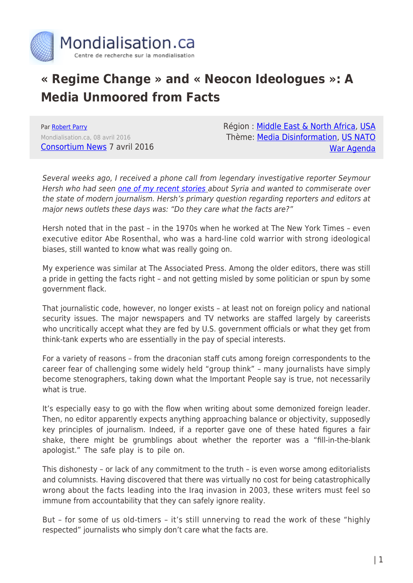

## **« Regime Change » and « Neocon Ideologues »: A Media Unmoored from Facts**

Par [Robert Parry](https://www.mondialisation.ca/author/robert-parry) Mondialisation.ca, 08 avril 2016 [Consortium News](https://consortiumnews.com/2016/04/07/a-media-unmoored-from-facts/) 7 avril 2016 Région : [Middle East & North Africa,](https://www.mondialisation.ca/region/middle-east) [USA](https://www.mondialisation.ca/region/usa) Thème: [Media Disinformation,](https://www.mondialisation.ca/theme/media-disinformation) [US NATO](https://www.mondialisation.ca/theme/us-nato-war-agenda) [War Agenda](https://www.mondialisation.ca/theme/us-nato-war-agenda)

Several weeks ago, I received a phone call from legendary investigative reporter Seymour Hersh who had seen [one of my recent stories](https://consortiumnews.com/2016/03/10/neocons-red-faced-over-red-line/) about Syria and wanted to commiserate over the state of modern journalism. Hersh's primary question regarding reporters and editors at major news outlets these days was: "Do they care what the facts are?"

Hersh noted that in the past – in the 1970s when he worked at The New York Times – even executive editor Abe Rosenthal, who was a hard-line cold warrior with strong ideological biases, still wanted to know what was really going on.

My experience was similar at The Associated Press. Among the older editors, there was still a pride in getting the facts right – and not getting misled by some politician or spun by some government flack.

That journalistic code, however, no longer exists – at least not on foreign policy and national security issues. The major newspapers and TV networks are staffed largely by careerists who uncritically accept what they are fed by U.S. government officials or what they get from think-tank experts who are essentially in the pay of special interests.

For a variety of reasons – from the draconian staff cuts among foreign correspondents to the career fear of challenging some widely held "group think" – many journalists have simply become stenographers, taking down what the Important People say is true, not necessarily what is true.

It's especially easy to go with the flow when writing about some demonized foreign leader. Then, no editor apparently expects anything approaching balance or objectivity, supposedly key principles of journalism. Indeed, if a reporter gave one of these hated figures a fair shake, there might be grumblings about whether the reporter was a "fill-in-the-blank apologist." The safe play is to pile on.

This dishonesty – or lack of any commitment to the truth – is even worse among editorialists and columnists. Having discovered that there was virtually no cost for being catastrophically wrong about the facts leading into the Iraq invasion in 2003, these writers must feel so immune from accountability that they can safely ignore reality.

But – for some of us old-timers – it's still unnerving to read the work of these "highly respected" journalists who simply don't care what the facts are.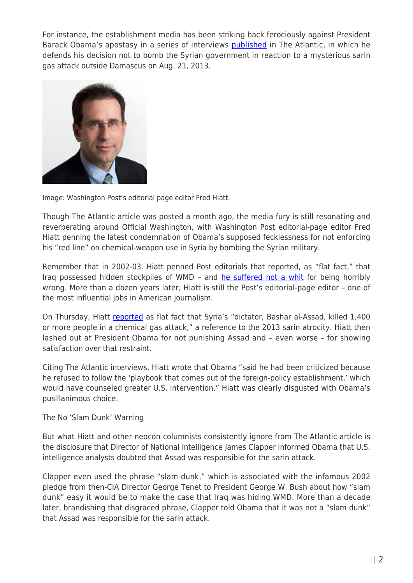For instance, the establishment media has been striking back ferociously against President Barack Obama's apostasy in a series of interviews **[published](http://www.theatlantic.com/magazine/archive/2016/04/the-obama-doctrine/471525/)** in The Atlantic, in which he defends his decision not to bomb the Syrian government in reaction to a mysterious sarin gas attack outside Damascus on Aug. 21, 2013.



Image: Washington Post's editorial page editor Fred Hiatt.

Though The Atlantic article was posted a month ago, the media fury is still resonating and reverberating around Official Washington, with Washington Post editorial-page editor Fred Hiatt penning the latest condemnation of Obama's supposed fecklessness for not enforcing his "red line" on chemical-weapon use in Syria by bombing the Syrian military.

Remember that in 2002-03, Hiatt penned Post editorials that reported, as "flat fact," that Iraq possessed hidden stockpiles of WMD – and [he suffered not a whit](https://consortiumnews.com/2013/03/19/why-wposts-hiatt-should-be-fired/) for being horribly wrong. More than a dozen years later, Hiatt is still the Post's editorial-page editor – one of the most influential jobs in American journalism.

On Thursday, Hiatt [reported](https://www.washingtonpost.com/opinions/obama-destroyed-syrians-glimmer-of-hope-that-america-would-intervene/2016/04/06/1dea7e52-fb80-11e5-9140-e61d062438bb_story.html) as flat fact that Syria's "dictator, Bashar al-Assad, killed 1,400 or more people in a chemical gas attack," a reference to the 2013 sarin atrocity. Hiatt then lashed out at President Obama for not punishing Assad and – even worse – for showing satisfaction over that restraint.

Citing The Atlantic interviews, Hiatt wrote that Obama "said he had been criticized because he refused to follow the 'playbook that comes out of the foreign-policy establishment,' which would have counseled greater U.S. intervention." Hiatt was clearly disgusted with Obama's pusillanimous choice.

The No 'Slam Dunk' Warning

But what Hiatt and other neocon columnists consistently ignore from The Atlantic article is the disclosure that Director of National Intelligence James Clapper informed Obama that U.S. intelligence analysts doubted that Assad was responsible for the sarin attack.

Clapper even used the phrase "slam dunk," which is associated with the infamous 2002 pledge from then-CIA Director George Tenet to President George W. Bush about how "slam dunk" easy it would be to make the case that Iraq was hiding WMD. More than a decade later, brandishing that disgraced phrase, Clapper told Obama that it was not a "slam dunk" that Assad was responsible for the sarin attack.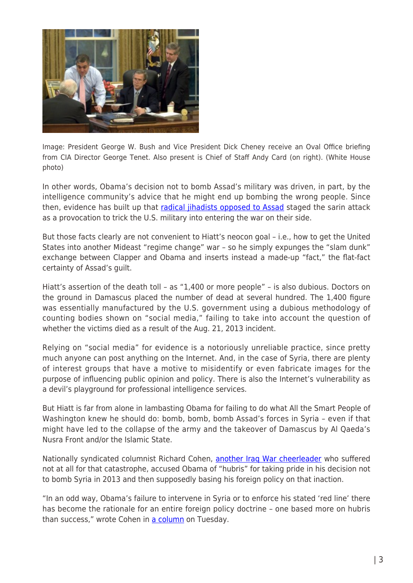

Image: President George W. Bush and Vice President Dick Cheney receive an Oval Office briefing from CIA Director George Tenet. Also present is Chief of Staff Andy Card (on right). (White House photo)

In other words, Obama's decision not to bomb Assad's military was driven, in part, by the intelligence community's advice that he might end up bombing the wrong people. Since then, evidence has built up that [radical jihadists opposed to Assad](https://consortiumnews.com/2014/04/06/was-turkey-behind-syrian-sarin-attack/) staged the sarin attack as a provocation to trick the U.S. military into entering the war on their side.

But those facts clearly are not convenient to Hiatt's neocon goal – i.e., how to get the United States into another Mideast "regime change" war – so he simply expunges the "slam dunk" exchange between Clapper and Obama and inserts instead a made-up "fact," the flat-fact certainty of Assad's guilt.

Hiatt's assertion of the death toll – as "1,400 or more people" – is also dubious. Doctors on the ground in Damascus placed the number of dead at several hundred. The 1,400 figure was essentially manufactured by the U.S. government using a dubious methodology of counting bodies shown on "social media," failing to take into account the question of whether the victims died as a result of the Aug. 21, 2013 incident.

Relying on "social media" for evidence is a notoriously unreliable practice, since pretty much anyone can post anything on the Internet. And, in the case of Syria, there are plenty of interest groups that have a motive to misidentify or even fabricate images for the purpose of influencing public opinion and policy. There is also the Internet's vulnerability as a devil's playground for professional intelligence services.

But Hiatt is far from alone in lambasting Obama for failing to do what All the Smart People of Washington knew he should do: bomb, bomb, bomb Assad's forces in Syria – even if that might have led to the collapse of the army and the takeover of Damascus by Al Qaeda's Nusra Front and/or the Islamic State.

Nationally syndicated columnist Richard Cohen, [another Iraq War cheerleader](https://consortiumnews.com/2015/12/30/is-wps-cohen-dumbest-columnist/) who suffered not at all for that catastrophe, accused Obama of "hubris" for taking pride in his decision not to bomb Syria in 2013 and then supposedly basing his foreign policy on that inaction.

"In an odd way, Obama's failure to intervene in Syria or to enforce his stated 'red line' there has become the rationale for an entire foreign policy doctrine – one based more on hubris than success," wrote Cohen in [a column](https://www.washingtonpost.com/opinions/instead-of-a-foreign-policy-that-regulates-hubris-obama-demonstrates-his-own/2016/04/04/d6bb3860-fa89-11e5-886f-a037dba38301_story.html) on Tuesday.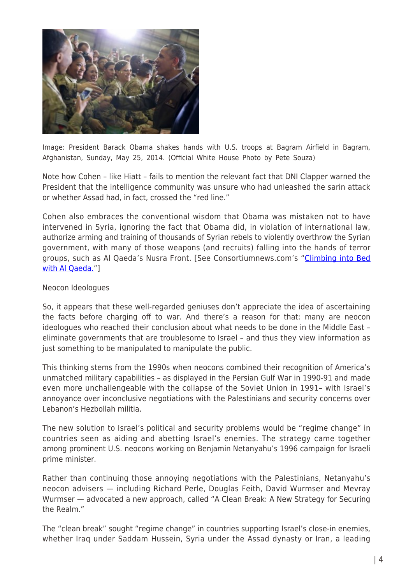

Image: President Barack Obama shakes hands with U.S. troops at Bagram Airfield in Bagram, Afghanistan, Sunday, May 25, 2014. (Official White House Photo by Pete Souza)

Note how Cohen – like Hiatt – fails to mention the relevant fact that DNI Clapper warned the President that the intelligence community was unsure who had unleashed the sarin attack or whether Assad had, in fact, crossed the "red line."

Cohen also embraces the conventional wisdom that Obama was mistaken not to have intervened in Syria, ignoring the fact that Obama did, in violation of international law, authorize arming and training of thousands of Syrian rebels to violently overthrow the Syrian government, with many of those weapons (and recruits) falling into the hands of terror groups, such as Al Qaeda's Nusra Front. [See Consortiumnews.com's ["Climbing into Bed](https://consortiumnews.com/2015/05/02/climbing-into-bed-with-al-qaeda/) [with Al Qaeda.](https://consortiumnews.com/2015/05/02/climbing-into-bed-with-al-qaeda/)"]

## Neocon Ideologues

So, it appears that these well-regarded geniuses don't appreciate the idea of ascertaining the facts before charging off to war. And there's a reason for that: many are neocon ideologues who reached their conclusion about what needs to be done in the Middle East – eliminate governments that are troublesome to Israel – and thus they view information as just something to be manipulated to manipulate the public.

This thinking stems from the 1990s when neocons combined their recognition of America's unmatched military capabilities – as displayed in the Persian Gulf War in 1990-91 and made even more unchallengeable with the collapse of the Soviet Union in 1991– with Israel's annoyance over inconclusive negotiations with the Palestinians and security concerns over Lebanon's Hezbollah militia.

The new solution to Israel's political and security problems would be "regime change" in countries seen as aiding and abetting Israel's enemies. The strategy came together among prominent U.S. neocons working on Benjamin Netanyahu's 1996 campaign for Israeli prime minister.

Rather than continuing those annoying negotiations with the Palestinians, Netanyahu's neocon advisers — including Richard Perle, Douglas Feith, David Wurmser and Mevray Wurmser — advocated a new approach, called "A Clean Break: A New Strategy for Securing the Realm."

The "clean break" sought "regime change" in countries supporting Israel's close-in enemies, whether Iraq under Saddam Hussein, Syria under the Assad dynasty or Iran, a leading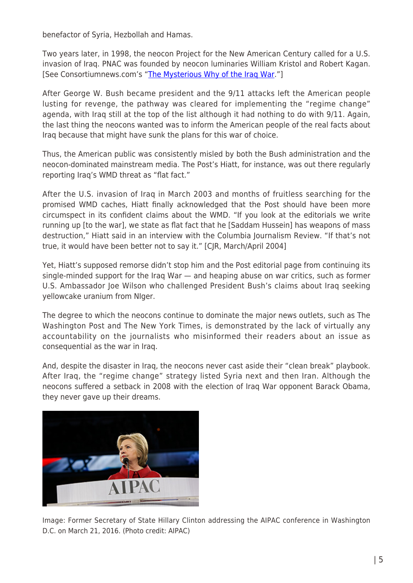benefactor of Syria, Hezbollah and Hamas.

Two years later, in 1998, the neocon Project for the New American Century called for a U.S. invasion of Iraq. PNAC was founded by neocon luminaries William Kristol and Robert Kagan. [See Consortiumnews.com's "[The Mysterious Why of the Iraq War.](https://consortiumnews.com/2013/03/20/the-mysterious-why-of-the-iraq-war/)"]

After George W. Bush became president and the 9/11 attacks left the American people lusting for revenge, the pathway was cleared for implementing the "regime change" agenda, with Iraq still at the top of the list although it had nothing to do with 9/11. Again, the last thing the neocons wanted was to inform the American people of the real facts about Iraq because that might have sunk the plans for this war of choice.

Thus, the American public was consistently misled by both the Bush administration and the neocon-dominated mainstream media. The Post's Hiatt, for instance, was out there regularly reporting Iraq's WMD threat as "flat fact."

After the U.S. invasion of Iraq in March 2003 and months of fruitless searching for the promised WMD caches, Hiatt finally acknowledged that the Post should have been more circumspect in its confident claims about the WMD. "If you look at the editorials we write running up [to the war], we state as flat fact that he [Saddam Hussein] has weapons of mass destruction," Hiatt said in an interview with the Columbia Journalism Review. "If that's not true, it would have been better not to say it." [CJR, March/April 2004]

Yet, Hiatt's supposed remorse didn't stop him and the Post editorial page from continuing its single-minded support for the Iraq War — and heaping abuse on war critics, such as former U.S. Ambassador Joe Wilson who challenged President Bush's claims about Iraq seeking yellowcake uranium from NIger.

The degree to which the neocons continue to dominate the major news outlets, such as The Washington Post and The New York Times, is demonstrated by the lack of virtually any accountability on the journalists who misinformed their readers about an issue as consequential as the war in Iraq.

And, despite the disaster in Iraq, the neocons never cast aside their "clean break" playbook. After Iraq, the "regime change" strategy listed Syria next and then Iran. Although the neocons suffered a setback in 2008 with the election of Iraq War opponent Barack Obama, they never gave up their dreams.



Image: Former Secretary of State Hillary Clinton addressing the AIPAC conference in Washington D.C. on March 21, 2016. (Photo credit: AIPAC)